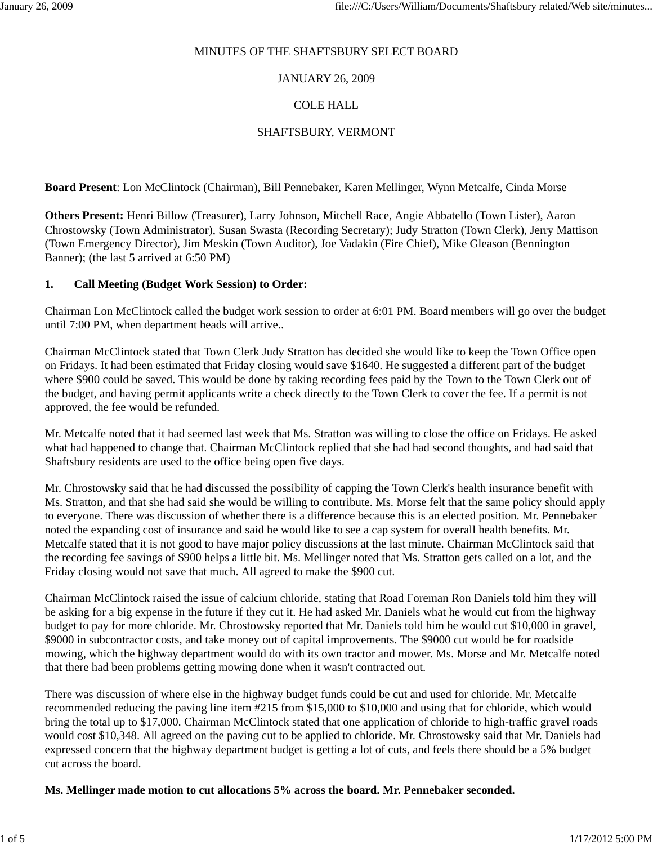## MINUTES OF THE SHAFTSBURY SELECT BOARD

# JANUARY 26, 2009

# COLE HALL

# SHAFTSBURY, VERMONT

**Board Present**: Lon McClintock (Chairman), Bill Pennebaker, Karen Mellinger, Wynn Metcalfe, Cinda Morse

**Others Present:** Henri Billow (Treasurer), Larry Johnson, Mitchell Race, Angie Abbatello (Town Lister), Aaron Chrostowsky (Town Administrator), Susan Swasta (Recording Secretary); Judy Stratton (Town Clerk), Jerry Mattison (Town Emergency Director), Jim Meskin (Town Auditor), Joe Vadakin (Fire Chief), Mike Gleason (Bennington Banner); (the last 5 arrived at 6:50 PM)

## **1. Call Meeting (Budget Work Session) to Order:**

Chairman Lon McClintock called the budget work session to order at 6:01 PM. Board members will go over the budget until 7:00 PM, when department heads will arrive..

Chairman McClintock stated that Town Clerk Judy Stratton has decided she would like to keep the Town Office open on Fridays. It had been estimated that Friday closing would save \$1640. He suggested a different part of the budget where \$900 could be saved. This would be done by taking recording fees paid by the Town to the Town Clerk out of the budget, and having permit applicants write a check directly to the Town Clerk to cover the fee. If a permit is not approved, the fee would be refunded.

Mr. Metcalfe noted that it had seemed last week that Ms. Stratton was willing to close the office on Fridays. He asked what had happened to change that. Chairman McClintock replied that she had had second thoughts, and had said that Shaftsbury residents are used to the office being open five days.

Mr. Chrostowsky said that he had discussed the possibility of capping the Town Clerk's health insurance benefit with Ms. Stratton, and that she had said she would be willing to contribute. Ms. Morse felt that the same policy should apply to everyone. There was discussion of whether there is a difference because this is an elected position. Mr. Pennebaker noted the expanding cost of insurance and said he would like to see a cap system for overall health benefits. Mr. Metcalfe stated that it is not good to have major policy discussions at the last minute. Chairman McClintock said that the recording fee savings of \$900 helps a little bit. Ms. Mellinger noted that Ms. Stratton gets called on a lot, and the Friday closing would not save that much. All agreed to make the \$900 cut.

Chairman McClintock raised the issue of calcium chloride, stating that Road Foreman Ron Daniels told him they will be asking for a big expense in the future if they cut it. He had asked Mr. Daniels what he would cut from the highway budget to pay for more chloride. Mr. Chrostowsky reported that Mr. Daniels told him he would cut \$10,000 in gravel, \$9000 in subcontractor costs, and take money out of capital improvements. The \$9000 cut would be for roadside mowing, which the highway department would do with its own tractor and mower. Ms. Morse and Mr. Metcalfe noted that there had been problems getting mowing done when it wasn't contracted out.

There was discussion of where else in the highway budget funds could be cut and used for chloride. Mr. Metcalfe recommended reducing the paving line item #215 from \$15,000 to \$10,000 and using that for chloride, which would bring the total up to \$17,000. Chairman McClintock stated that one application of chloride to high-traffic gravel roads would cost \$10,348. All agreed on the paving cut to be applied to chloride. Mr. Chrostowsky said that Mr. Daniels had expressed concern that the highway department budget is getting a lot of cuts, and feels there should be a 5% budget cut across the board.

**Ms. Mellinger made motion to cut allocations 5% across the board. Mr. Pennebaker seconded.**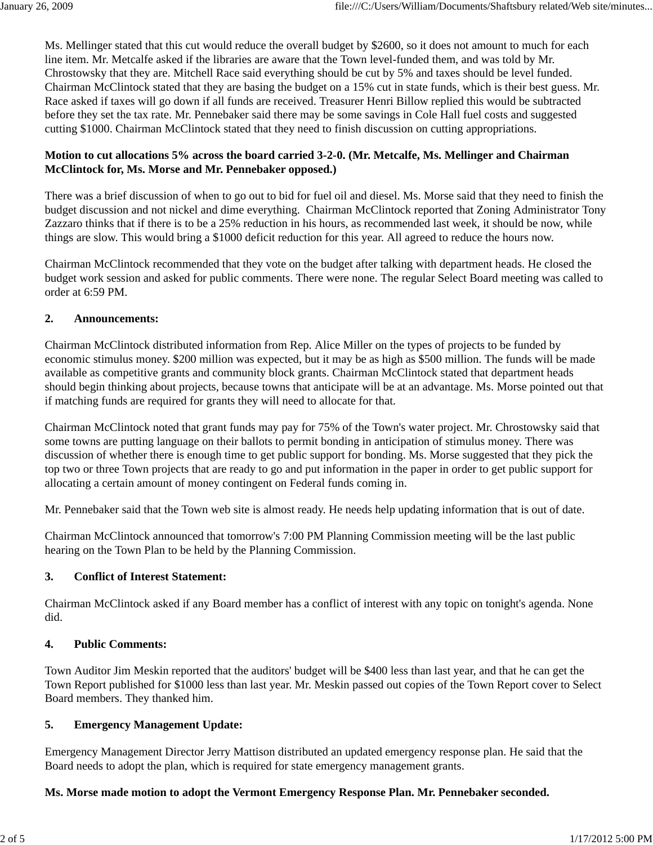Ms. Mellinger stated that this cut would reduce the overall budget by \$2600, so it does not amount to much for each line item. Mr. Metcalfe asked if the libraries are aware that the Town level-funded them, and was told by Mr. Chrostowsky that they are. Mitchell Race said everything should be cut by 5% and taxes should be level funded. Chairman McClintock stated that they are basing the budget on a 15% cut in state funds, which is their best guess. Mr. Race asked if taxes will go down if all funds are received. Treasurer Henri Billow replied this would be subtracted before they set the tax rate. Mr. Pennebaker said there may be some savings in Cole Hall fuel costs and suggested cutting \$1000. Chairman McClintock stated that they need to finish discussion on cutting appropriations.

# **Motion to cut allocations 5% across the board carried 3-2-0. (Mr. Metcalfe, Ms. Mellinger and Chairman McClintock for, Ms. Morse and Mr. Pennebaker opposed.)**

There was a brief discussion of when to go out to bid for fuel oil and diesel. Ms. Morse said that they need to finish the budget discussion and not nickel and dime everything. Chairman McClintock reported that Zoning Administrator Tony Zazzaro thinks that if there is to be a 25% reduction in his hours, as recommended last week, it should be now, while things are slow. This would bring a \$1000 deficit reduction for this year. All agreed to reduce the hours now.

Chairman McClintock recommended that they vote on the budget after talking with department heads. He closed the budget work session and asked for public comments. There were none. The regular Select Board meeting was called to order at 6:59 PM.

# **2. Announcements:**

Chairman McClintock distributed information from Rep. Alice Miller on the types of projects to be funded by economic stimulus money. \$200 million was expected, but it may be as high as \$500 million. The funds will be made available as competitive grants and community block grants. Chairman McClintock stated that department heads should begin thinking about projects, because towns that anticipate will be at an advantage. Ms. Morse pointed out that if matching funds are required for grants they will need to allocate for that.

Chairman McClintock noted that grant funds may pay for 75% of the Town's water project. Mr. Chrostowsky said that some towns are putting language on their ballots to permit bonding in anticipation of stimulus money. There was discussion of whether there is enough time to get public support for bonding. Ms. Morse suggested that they pick the top two or three Town projects that are ready to go and put information in the paper in order to get public support for allocating a certain amount of money contingent on Federal funds coming in.

Mr. Pennebaker said that the Town web site is almost ready. He needs help updating information that is out of date.

Chairman McClintock announced that tomorrow's 7:00 PM Planning Commission meeting will be the last public hearing on the Town Plan to be held by the Planning Commission.

## **3. Conflict of Interest Statement:**

Chairman McClintock asked if any Board member has a conflict of interest with any topic on tonight's agenda. None did.

## **4. Public Comments:**

Town Auditor Jim Meskin reported that the auditors' budget will be \$400 less than last year, and that he can get the Town Report published for \$1000 less than last year. Mr. Meskin passed out copies of the Town Report cover to Select Board members. They thanked him.

# **5. Emergency Management Update:**

Emergency Management Director Jerry Mattison distributed an updated emergency response plan. He said that the Board needs to adopt the plan, which is required for state emergency management grants.

# **Ms. Morse made motion to adopt the Vermont Emergency Response Plan. Mr. Pennebaker seconded.**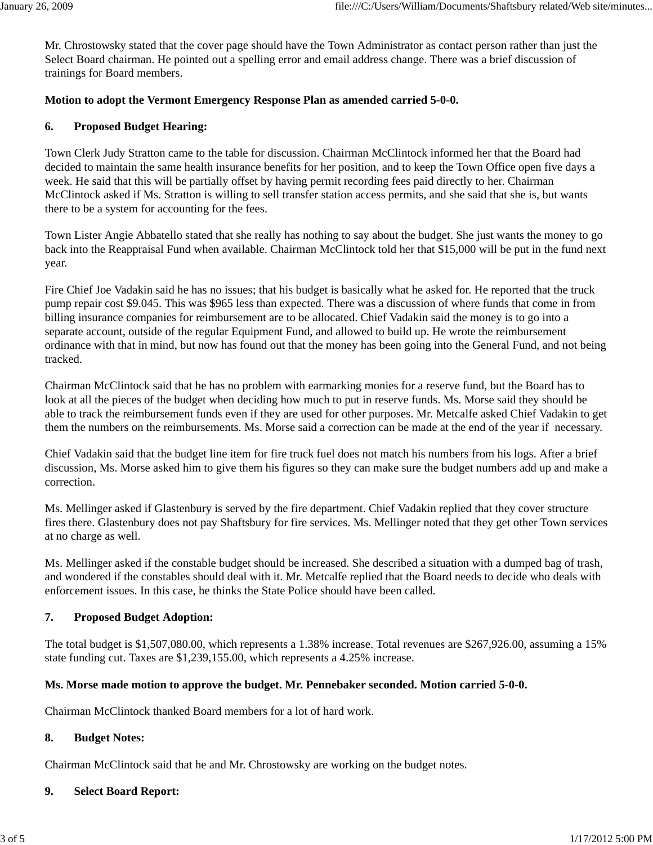Mr. Chrostowsky stated that the cover page should have the Town Administrator as contact person rather than just the Select Board chairman. He pointed out a spelling error and email address change. There was a brief discussion of trainings for Board members.

# **Motion to adopt the Vermont Emergency Response Plan as amended carried 5-0-0.**

# **6. Proposed Budget Hearing:**

Town Clerk Judy Stratton came to the table for discussion. Chairman McClintock informed her that the Board had decided to maintain the same health insurance benefits for her position, and to keep the Town Office open five days a week. He said that this will be partially offset by having permit recording fees paid directly to her. Chairman McClintock asked if Ms. Stratton is willing to sell transfer station access permits, and she said that she is, but wants there to be a system for accounting for the fees.

Town Lister Angie Abbatello stated that she really has nothing to say about the budget. She just wants the money to go back into the Reappraisal Fund when available. Chairman McClintock told her that \$15,000 will be put in the fund next year.

Fire Chief Joe Vadakin said he has no issues; that his budget is basically what he asked for. He reported that the truck pump repair cost \$9.045. This was \$965 less than expected. There was a discussion of where funds that come in from billing insurance companies for reimbursement are to be allocated. Chief Vadakin said the money is to go into a separate account, outside of the regular Equipment Fund, and allowed to build up. He wrote the reimbursement ordinance with that in mind, but now has found out that the money has been going into the General Fund, and not being tracked.

Chairman McClintock said that he has no problem with earmarking monies for a reserve fund, but the Board has to look at all the pieces of the budget when deciding how much to put in reserve funds. Ms. Morse said they should be able to track the reimbursement funds even if they are used for other purposes. Mr. Metcalfe asked Chief Vadakin to get them the numbers on the reimbursements. Ms. Morse said a correction can be made at the end of the year if necessary.

Chief Vadakin said that the budget line item for fire truck fuel does not match his numbers from his logs. After a brief discussion, Ms. Morse asked him to give them his figures so they can make sure the budget numbers add up and make a correction.

Ms. Mellinger asked if Glastenbury is served by the fire department. Chief Vadakin replied that they cover structure fires there. Glastenbury does not pay Shaftsbury for fire services. Ms. Mellinger noted that they get other Town services at no charge as well.

Ms. Mellinger asked if the constable budget should be increased. She described a situation with a dumped bag of trash, and wondered if the constables should deal with it. Mr. Metcalfe replied that the Board needs to decide who deals with enforcement issues. In this case, he thinks the State Police should have been called.

## **7. Proposed Budget Adoption:**

The total budget is \$1,507,080.00, which represents a 1.38% increase. Total revenues are \$267,926.00, assuming a 15% state funding cut. Taxes are \$1,239,155.00, which represents a 4.25% increase.

## **Ms. Morse made motion to approve the budget. Mr. Pennebaker seconded. Motion carried 5-0-0.**

Chairman McClintock thanked Board members for a lot of hard work.

## **8. Budget Notes:**

Chairman McClintock said that he and Mr. Chrostowsky are working on the budget notes.

## **9. Select Board Report:**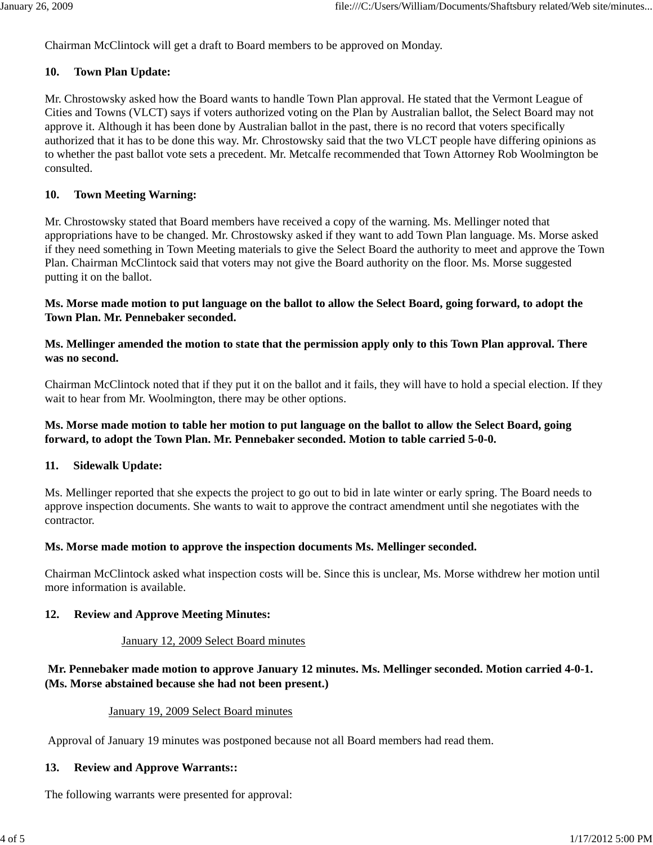Chairman McClintock will get a draft to Board members to be approved on Monday.

### **10. Town Plan Update:**

Mr. Chrostowsky asked how the Board wants to handle Town Plan approval. He stated that the Vermont League of Cities and Towns (VLCT) says if voters authorized voting on the Plan by Australian ballot, the Select Board may not approve it. Although it has been done by Australian ballot in the past, there is no record that voters specifically authorized that it has to be done this way. Mr. Chrostowsky said that the two VLCT people have differing opinions as to whether the past ballot vote sets a precedent. Mr. Metcalfe recommended that Town Attorney Rob Woolmington be consulted.

### **10. Town Meeting Warning:**

Mr. Chrostowsky stated that Board members have received a copy of the warning. Ms. Mellinger noted that appropriations have to be changed. Mr. Chrostowsky asked if they want to add Town Plan language. Ms. Morse asked if they need something in Town Meeting materials to give the Select Board the authority to meet and approve the Town Plan. Chairman McClintock said that voters may not give the Board authority on the floor. Ms. Morse suggested putting it on the ballot.

### **Ms. Morse made motion to put language on the ballot to allow the Select Board, going forward, to adopt the Town Plan. Mr. Pennebaker seconded.**

# **Ms. Mellinger amended the motion to state that the permission apply only to this Town Plan approval. There was no second.**

Chairman McClintock noted that if they put it on the ballot and it fails, they will have to hold a special election. If they wait to hear from Mr. Woolmington, there may be other options.

# **Ms. Morse made motion to table her motion to put language on the ballot to allow the Select Board, going forward, to adopt the Town Plan. Mr. Pennebaker seconded. Motion to table carried 5-0-0.**

#### **11. Sidewalk Update:**

Ms. Mellinger reported that she expects the project to go out to bid in late winter or early spring. The Board needs to approve inspection documents. She wants to wait to approve the contract amendment until she negotiates with the contractor.

## **Ms. Morse made motion to approve the inspection documents Ms. Mellinger seconded.**

Chairman McClintock asked what inspection costs will be. Since this is unclear, Ms. Morse withdrew her motion until more information is available.

## **12. Review and Approve Meeting Minutes:**

#### January 12, 2009 Select Board minutes

# **Mr. Pennebaker made motion to approve January 12 minutes. Ms. Mellinger seconded. Motion carried 4-0-1. (Ms. Morse abstained because she had not been present.)**

#### January 19, 2009 Select Board minutes

Approval of January 19 minutes was postponed because not all Board members had read them.

#### **13. Review and Approve Warrants::**

The following warrants were presented for approval: